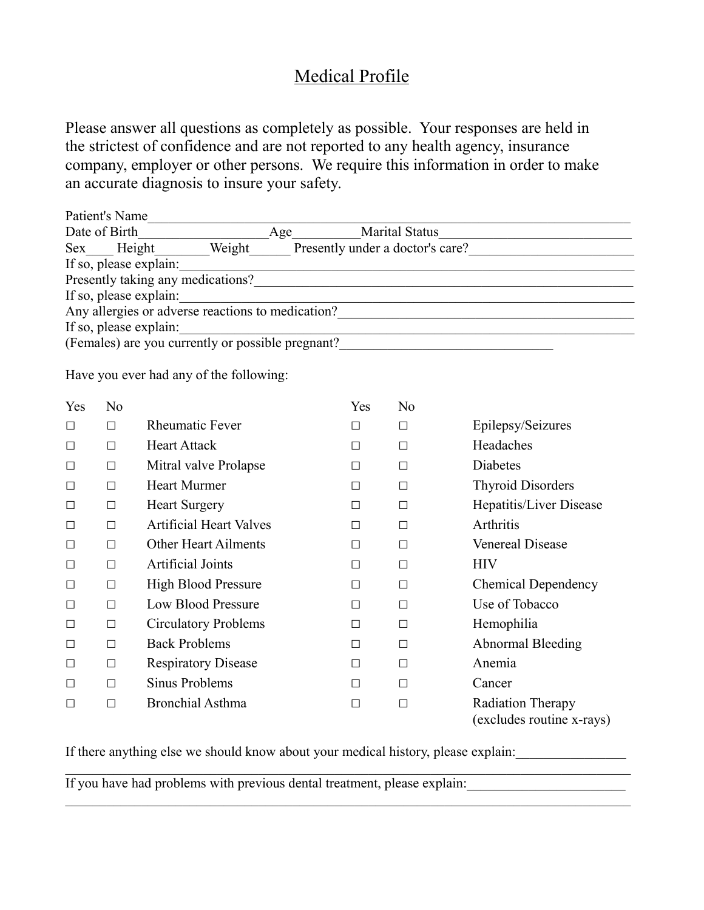## Medical Profile

Please answer all questions as completely as possible. Your responses are held in the strictest of confidence and are not reported to any health agency, insurance company, employer or other persons. We require this information in order to make an accurate diagnosis to insure your safety.

|               | Patient's Name |                                                   |  |                                  |                                                                            |                                                           |
|---------------|----------------|---------------------------------------------------|--|----------------------------------|----------------------------------------------------------------------------|-----------------------------------------------------------|
| Date of Birth |                | Age<br>Marital Status                             |  |                                  |                                                                            |                                                           |
| Height        |                |                                                   |  | Presently under a doctor's care? |                                                                            |                                                           |
|               |                | If so, please explain:                            |  |                                  |                                                                            |                                                           |
|               |                | Presently taking any medications?                 |  |                                  |                                                                            | <u> 1980 - John Stein, Amerikaansk politiker (* 1980)</u> |
|               |                | If so, please explain:                            |  |                                  | the control of the control of the control of the control of the control of |                                                           |
|               |                |                                                   |  |                                  |                                                                            | Any allergies or adverse reactions to medication?         |
|               |                | If so, please explain:                            |  |                                  | <u> 1989 - Johann John Stein, mars an deus Amerikaansk kommunister (</u>   |                                                           |
|               |                | (Females) are you currently or possible pregnant? |  |                                  |                                                                            |                                                           |
|               |                |                                                   |  |                                  |                                                                            |                                                           |
|               |                | Have you ever had any of the following:           |  |                                  |                                                                            |                                                           |
| Yes           | N <sub>0</sub> |                                                   |  | Yes                              | N <sub>0</sub>                                                             |                                                           |
| $\Box$        | $\Box$         | <b>Rheumatic Fever</b>                            |  | □                                | $\Box$                                                                     | Epilepsy/Seizures                                         |
| □             | П              | <b>Heart Attack</b>                               |  | П                                | П                                                                          | Headaches                                                 |
| $\Box$        | □              | Mitral valve Prolapse                             |  | П                                | П                                                                          | Diabetes                                                  |
| □             | □              | <b>Heart Murmer</b>                               |  | □                                | $\Box$                                                                     | <b>Thyroid Disorders</b>                                  |
| $\Box$        | □              | <b>Heart Surgery</b>                              |  | □                                | $\Box$                                                                     | Hepatitis/Liver Disease                                   |
| $\Box$        | □              | <b>Artificial Heart Valves</b>                    |  | □                                | $\Box$                                                                     | Arthritis                                                 |
| $\Box$        | $\Box$         | <b>Other Heart Ailments</b>                       |  | $\Box$                           | $\Box$                                                                     | <b>Venereal Disease</b>                                   |
| $\Box$        | П              | <b>Artificial Joints</b>                          |  | П                                | П                                                                          | <b>HIV</b>                                                |
| $\Box$        | П              | <b>High Blood Pressure</b>                        |  | П                                | $\Box$                                                                     | <b>Chemical Dependency</b>                                |

If there anything else we should know about your medical history, please explain:

□ □ Respiratory Disease □ □ Anemia □ □ Sinus Problems □ □ Cancer

□ □ Low Blood Pressure □ □ Use of Tobacco □ □ Circulatory Problems □ □ Hemophilia

□ □ Back Problems □ □ Abnormal Bleeding

□ □ Bronchial Asthma □ □ Radiation Therapy

 $\_$  , and the contribution of the contribution of the contribution of the contribution of  $\mathcal{L}_\text{max}$ 

 $\_$  , and the contribution of the contribution of the contribution of the contribution of  $\mathcal{L}_\text{max}$ 

(excludes routine x-rays)

If you have had problems with previous dental treatment, please explain: